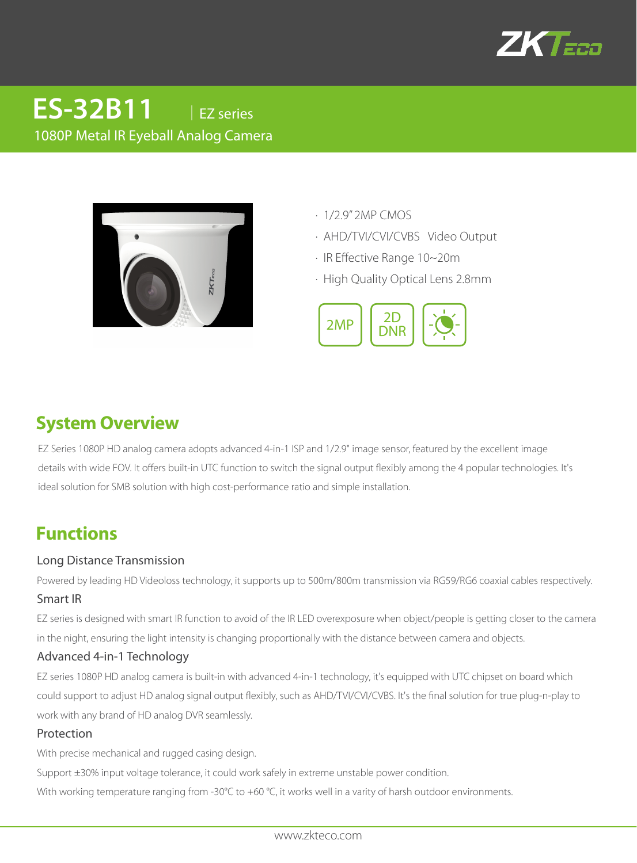

# 1080P Metal IR Eyeball Analog Camera **ES-32B11C** │EZ series

- · 1/2.9" 2MP CMOS
- · AHD/TVI/CVI/CVBS Video Output
- · IR Effective Range 10~20m
- · High Quality Optical Lens 2.8mm



### **System Overview**

EZ Series 1080P HD analog camera adopts advanced 4-in-1 ISP and 1/2.9" image sensor, featured by the excellent image details with wide FOV. It offers built-in UTC function to switch the signal output flexibly among the 4 popular technologies. It's ideal solution for SMB solution with high cost-performance ratio and simple installation.

## **Functions**

#### Long Distance Transmission

Powered by leading HD Videoloss technology, it supports up to 500m/800m transmission via RG59/RG6 coaxial cables respectively.

#### Smart IR

EZ series is designed with smart IR function to avoid of the IR LED overexposure when object/people is getting closer to the camera in the night, ensuring the light intensity is changing proportionally with the distance between camera and objects.

#### Advanced 4-in-1 Technology

EZ series 1080P HD analog camera is built-in with advanced 4-in-1 technology, it's equipped with UTC chipset on board which could support to adjust HD analog signal output flexibly, such as AHD/TVI/CVI/CVBS. It's the final solution for true plug-n-play to work with any brand of HD analog DVR seamlessly.

#### Protection

With precise mechanical and rugged casing design.

Support ±30% input voltage tolerance, it could work safely in extreme unstable power condition.

With working temperature ranging from -30°C to +60 °C, it works well in a varity of harsh outdoor environments.